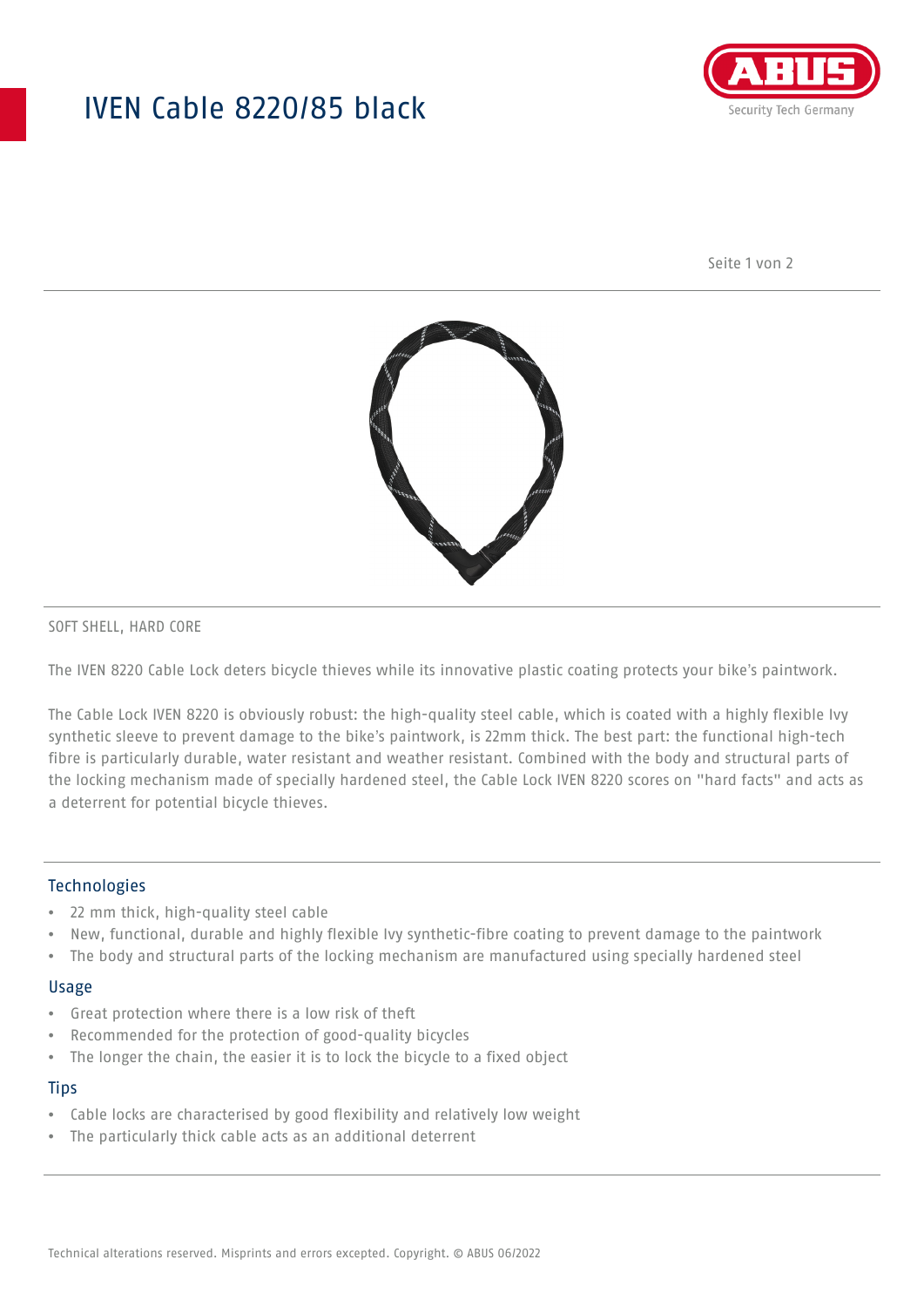# IVEN Cable 8220/85 black



Seite 1 von 2



#### SOFT SHELL, HARD CORE

The IVEN 8220 Cable Lock deters bicycle thieves while its innovative plastic coating protects your bike's paintwork.

The Cable Lock IVEN 8220 is obviously robust: the high-quality steel cable, which is coated with a highly flexible Ivy synthetic sleeve to prevent damage to the bike's paintwork, is 22mm thick. The best part: the functional high-tech fibre is particularly durable, water resistant and weather resistant. Combined with the body and structural parts of the locking mechanism made of specially hardened steel, the Cable Lock IVEN 8220 scores on "hard facts" and acts as a deterrent for potential bicycle thieves.

### Technologies

- 22 mm thick, high-quality steel cable
- New, functional, durable and highly flexible Ivy synthetic-fibre coating to prevent damage to the paintwork
- The body and structural parts of the locking mechanism are manufactured using specially hardened steel

#### Usage

- Great protection where there is a low risk of theft
- Recommended for the protection of good-quality bicycles
- The longer the chain, the easier it is to lock the bicycle to a fixed object

#### **Tips**

- Cable locks are characterised by good flexibility and relatively low weight
- The particularly thick cable acts as an additional deterrent